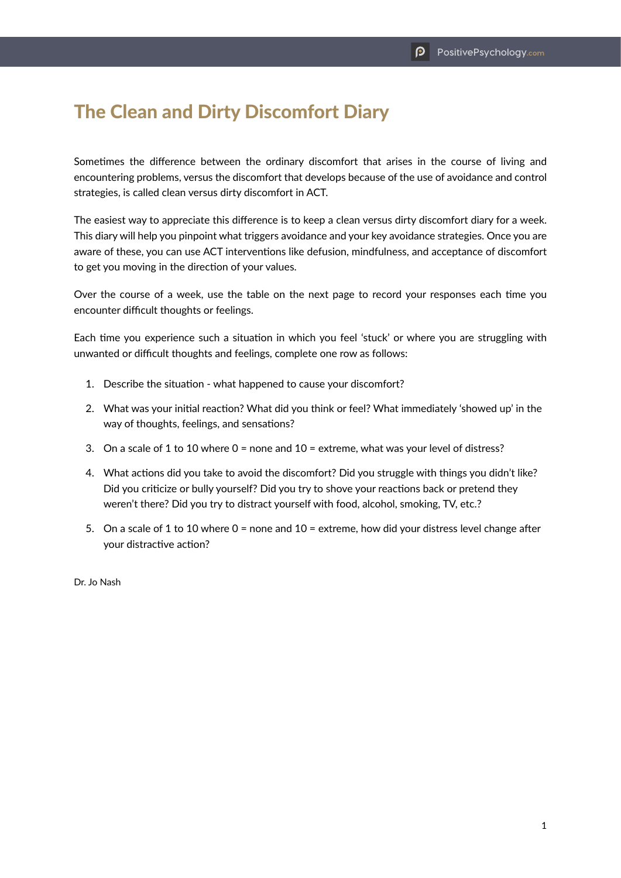## The Clean and Dirty Discomfort Diary

Sometimes the difference between the ordinary discomfort that arises in the course of living and encountering problems, versus the discomfort that develops because of the use of avoidance and control strategies, is called clean versus dirty discomfort in ACT.

The easiest way to appreciate this difference is to keep a clean versus dirty discomfort diary for a week. This diary will help you pinpoint what triggers avoidance and your key avoidance strategies. Once you are aware of these, you can use ACT interventions like defusion, mindfulness, and acceptance of discomfort to get you moving in the direction of your values.

Over the course of a week, use the table on the next page to record your responses each time you encounter difficult thoughts or feelings.

Each time you experience such a situation in which you feel 'stuck' or where you are struggling with unwanted or difficult thoughts and feelings, complete one row as follows:

- 1. Describe the situation what happened to cause your discomfort?
- 2. What was your initial reaction? What did you think or feel? What immediately 'showed up' in the way of thoughts, feelings, and sensations?
- 3. On a scale of 1 to 10 where 0 = none and 10 = extreme, what was your level of distress?
- 4. What actions did you take to avoid the discomfort? Did you struggle with things you didn't like? Did you criticize or bully yourself? Did you try to shove your reactions back or pretend they weren't there? Did you try to distract yourself with food, alcohol, smoking, TV, etc.?
- 5. On a scale of 1 to 10 where 0 = none and 10 = extreme, how did your distress level change after your distractive action?

Dr. Jo Nash